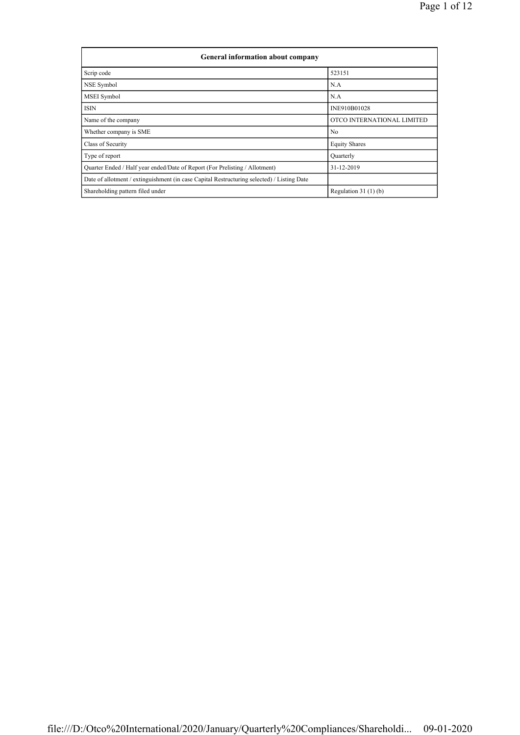| General information about company                                                          |                            |  |  |  |  |  |
|--------------------------------------------------------------------------------------------|----------------------------|--|--|--|--|--|
| Scrip code                                                                                 | 523151                     |  |  |  |  |  |
| NSE Symbol                                                                                 | N.A                        |  |  |  |  |  |
| MSEI Symbol                                                                                | N.A                        |  |  |  |  |  |
| <b>ISIN</b>                                                                                | INE910B01028               |  |  |  |  |  |
| Name of the company                                                                        | OTCO INTERNATIONAL LIMITED |  |  |  |  |  |
| Whether company is SME                                                                     | No                         |  |  |  |  |  |
| Class of Security                                                                          | <b>Equity Shares</b>       |  |  |  |  |  |
| Type of report                                                                             | Quarterly                  |  |  |  |  |  |
| Quarter Ended / Half year ended/Date of Report (For Prelisting / Allotment)                | 31-12-2019                 |  |  |  |  |  |
| Date of allotment / extinguishment (in case Capital Restructuring selected) / Listing Date |                            |  |  |  |  |  |
| Shareholding pattern filed under                                                           | Regulation $31(1)(b)$      |  |  |  |  |  |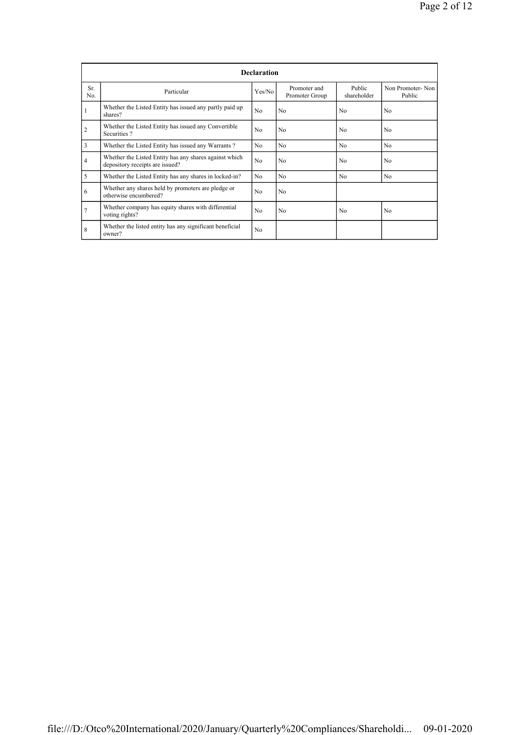|                | <b>Declaration</b>                                                                        |        |                                |                       |                            |  |  |  |  |
|----------------|-------------------------------------------------------------------------------------------|--------|--------------------------------|-----------------------|----------------------------|--|--|--|--|
| Sr.<br>No.     | Particular                                                                                | Yes/No | Promoter and<br>Promoter Group | Public<br>shareholder | Non Promoter-Non<br>Public |  |  |  |  |
|                | Whether the Listed Entity has issued any partly paid up<br>shares?                        | No     | N <sub>0</sub>                 | N <sub>0</sub>        | No                         |  |  |  |  |
| $\overline{2}$ | Whether the Listed Entity has issued any Convertible<br>Securities?                       | No     | N <sub>0</sub>                 | N <sub>0</sub>        | N <sub>0</sub>             |  |  |  |  |
| 3              | Whether the Listed Entity has issued any Warrants?                                        | No.    | N <sub>0</sub>                 | N <sub>0</sub>        | N <sub>0</sub>             |  |  |  |  |
| $\overline{4}$ | Whether the Listed Entity has any shares against which<br>depository receipts are issued? | No     | N <sub>0</sub>                 | N <sub>0</sub>        | N <sub>0</sub>             |  |  |  |  |
| 5              | Whether the Listed Entity has any shares in locked-in?                                    | No.    | N <sub>0</sub>                 | No                    | N <sub>o</sub>             |  |  |  |  |
| 6              | Whether any shares held by promoters are pledge or<br>otherwise encumbered?               | No.    | N <sub>0</sub>                 |                       |                            |  |  |  |  |
| 7              | Whether company has equity shares with differential<br>voting rights?                     | No.    | N <sub>0</sub>                 | N <sub>0</sub>        | N <sub>0</sub>             |  |  |  |  |
| 8              | Whether the listed entity has any significant beneficial<br>owner?                        | No     |                                |                       |                            |  |  |  |  |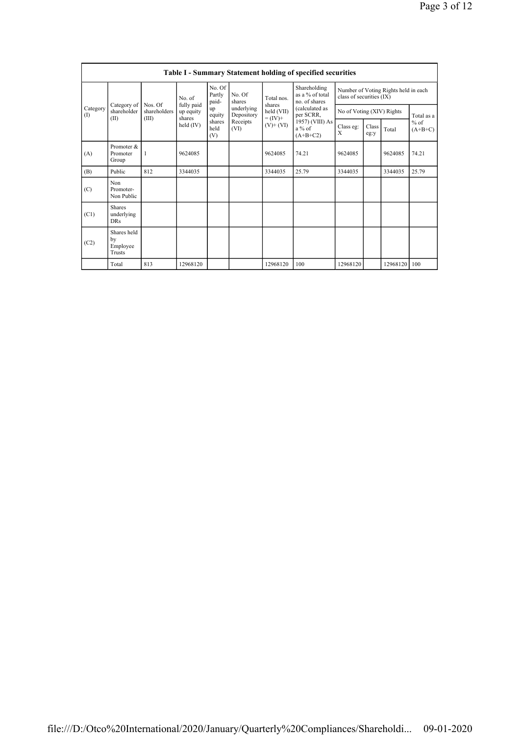| Table I - Summary Statement holding of specified securities |                                                                               |                                                 |                                                             |                           |                          |                      |                                                    |                                                                  |  |          |            |
|-------------------------------------------------------------|-------------------------------------------------------------------------------|-------------------------------------------------|-------------------------------------------------------------|---------------------------|--------------------------|----------------------|----------------------------------------------------|------------------------------------------------------------------|--|----------|------------|
| Category<br>(I)<br>(II)                                     |                                                                               | No. of<br>fully paid<br>Nos. Of<br>shareholders |                                                             | No. Of<br>Partly<br>paid- | No. Of<br>shares         | Total nos.<br>shares | Shareholding<br>as a $%$ of total<br>no. of shares | Number of Voting Rights held in each<br>class of securities (IX) |  |          |            |
|                                                             | Category of<br>shareholder                                                    |                                                 | up equity<br>shares                                         | up<br>equity              | underlying<br>Depository | held (VII)           | (calculated as<br>per SCRR,                        | No of Voting (XIV) Rights                                        |  |          | Total as a |
|                                                             | (III)<br>shares<br>Receipts<br>held (IV)<br>held<br>(VI)<br>(V)<br>Promoter & | $= (IV) +$<br>$(V)+(VI)$                        | 1957) (VIII) As<br>Class eg:<br>$a\%$ of<br>X<br>$(A+B+C2)$ |                           | Class<br>eg:y            | Total                | $%$ of<br>$(A+B+C)$                                |                                                                  |  |          |            |
| (A)                                                         | Promoter<br>Group                                                             | 1                                               | 9624085                                                     |                           |                          | 9624085              | 74.21                                              | 9624085                                                          |  | 9624085  | 74.21      |
| (B)                                                         | Public                                                                        | 812                                             | 3344035                                                     |                           |                          | 3344035              | 25.79                                              | 3344035                                                          |  | 3344035  | 25.79      |
| (C)                                                         | Non<br>Promoter-<br>Non Public                                                |                                                 |                                                             |                           |                          |                      |                                                    |                                                                  |  |          |            |
| (C1)                                                        | Shares<br>underlying<br><b>DRs</b>                                            |                                                 |                                                             |                           |                          |                      |                                                    |                                                                  |  |          |            |
| (C2)                                                        | Shares held<br>bv<br>Employee<br>Trusts                                       |                                                 |                                                             |                           |                          |                      |                                                    |                                                                  |  |          |            |
|                                                             | Total                                                                         | 813                                             | 12968120                                                    |                           |                          | 12968120             | 100                                                | 12968120                                                         |  | 12968120 | 100        |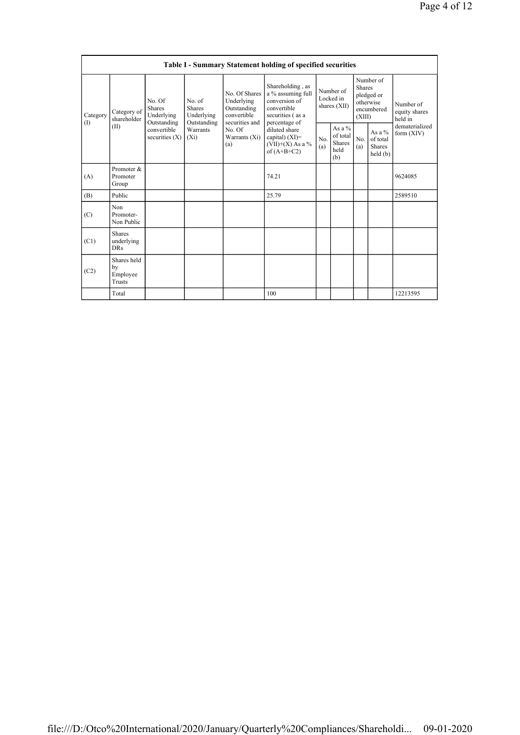|                                                                                                                                                                                                                                        | Table I - Summary Statement holding of specified securities |                                                                          |            |                                                                             |                                                                                                            |                                                |                                |                                                                               |  |                                       |
|----------------------------------------------------------------------------------------------------------------------------------------------------------------------------------------------------------------------------------------|-------------------------------------------------------------|--------------------------------------------------------------------------|------------|-----------------------------------------------------------------------------|------------------------------------------------------------------------------------------------------------|------------------------------------------------|--------------------------------|-------------------------------------------------------------------------------|--|---------------------------------------|
| No. of<br>No. Of<br><b>Shares</b><br><b>Shares</b><br>Category of<br>Category<br>Underlying<br>Underlying<br>shareholder<br>(I)<br>Outstanding<br>Outstanding<br>(II)<br>Warrants<br>convertible<br>securities $(X)$<br>$(X_i)$<br>(a) |                                                             |                                                                          |            | No. Of Shares<br>Underlying<br>Outstanding<br>convertible<br>securities and | Shareholding, as<br>a % assuming full<br>conversion of<br>convertible<br>securities (as a<br>percentage of | Number of<br>Locked in<br>shares (XII)         |                                | Number of<br><b>Shares</b><br>pledged or<br>otherwise<br>encumbered<br>(XIII) |  | Number of<br>equity shares<br>held in |
|                                                                                                                                                                                                                                        | No. Of<br>Warrants $(X_i)$                                  | diluted share<br>capital) $(XI)=$<br>$(VII)+(X)$ As a %<br>of $(A+B+C2)$ | No.<br>(a) | As a %<br>of total<br><b>Shares</b><br>held<br>(b)                          | No.<br>(a)                                                                                                 | As a %<br>of total<br><b>Shares</b><br>held(b) | dematerialized<br>form $(XIV)$ |                                                                               |  |                                       |
| (A)                                                                                                                                                                                                                                    | Promoter &<br>Promoter<br>Group                             |                                                                          |            |                                                                             | 74.21                                                                                                      |                                                |                                |                                                                               |  | 9624085                               |
| (B)                                                                                                                                                                                                                                    | Public                                                      |                                                                          |            |                                                                             | 25.79                                                                                                      |                                                |                                |                                                                               |  | 2589510                               |
| (C)                                                                                                                                                                                                                                    | Non<br>Promoter-<br>Non Public                              |                                                                          |            |                                                                             |                                                                                                            |                                                |                                |                                                                               |  |                                       |
| (C1)                                                                                                                                                                                                                                   | <b>Shares</b><br>underlying<br><b>DRs</b>                   |                                                                          |            |                                                                             |                                                                                                            |                                                |                                |                                                                               |  |                                       |
| (C2)                                                                                                                                                                                                                                   | Shares held<br>by<br>Employee<br>Trusts                     |                                                                          |            |                                                                             |                                                                                                            |                                                |                                |                                                                               |  |                                       |
|                                                                                                                                                                                                                                        | Total                                                       |                                                                          |            |                                                                             | 100                                                                                                        |                                                |                                |                                                                               |  | 12213595                              |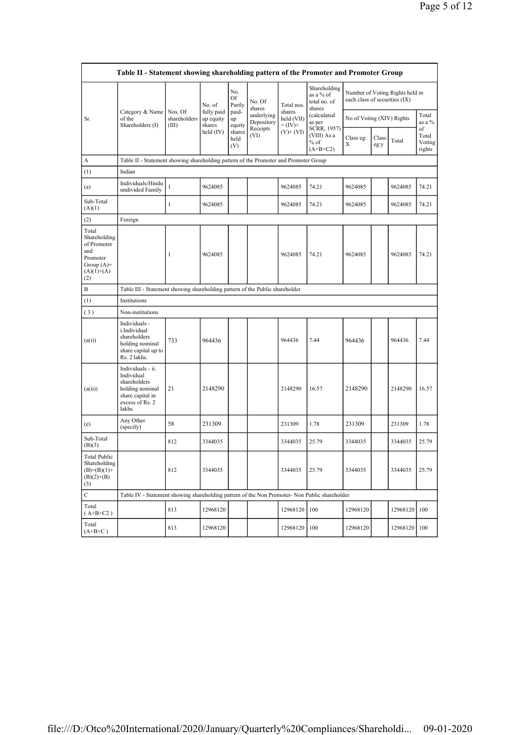| Table II - Statement showing shareholding pattern of the Promoter and Promoter Group           |                                                                                                                     |                                  |                                   |                       |                          |                                                  |                                                                              |                                                                  |               |          |                                 |
|------------------------------------------------------------------------------------------------|---------------------------------------------------------------------------------------------------------------------|----------------------------------|-----------------------------------|-----------------------|--------------------------|--------------------------------------------------|------------------------------------------------------------------------------|------------------------------------------------------------------|---------------|----------|---------------------------------|
| Sr.                                                                                            | Category & Name<br>of the<br>Shareholders (I)                                                                       |                                  | No. of                            | No.<br>Of<br>Partly   | No. Of<br>shares         | Total nos.<br>shares<br>held (VII)<br>$= (IV) +$ | Shareholding<br>as a % of<br>total no. of<br>shares<br>(calculated<br>as per | Number of Voting Rights held in<br>each class of securities (IX) |               |          |                                 |
|                                                                                                |                                                                                                                     | Nos. Of<br>shareholders<br>(III) | fully paid<br>up equity<br>shares | paid-<br>up<br>equity | underlying<br>Depository |                                                  |                                                                              | No of Voting (XIV) Rights                                        |               |          | Total<br>as a %                 |
|                                                                                                |                                                                                                                     |                                  | held $(IV)$                       | shares<br>held<br>(V) | Receipts<br>(VI)         | $(V)$ + $(VI)$                                   | SCRR, 1957)<br>(VIII) As a<br>$%$ of<br>$(A+B+C2)$                           | Class eg:<br>X                                                   | Class<br>eg:y | Total    | of<br>Total<br>Voting<br>rights |
| А                                                                                              | Table II - Statement showing shareholding pattern of the Promoter and Promoter Group                                |                                  |                                   |                       |                          |                                                  |                                                                              |                                                                  |               |          |                                 |
| (1)                                                                                            | Indian                                                                                                              |                                  |                                   |                       |                          |                                                  |                                                                              |                                                                  |               |          |                                 |
| (a)                                                                                            | Individuals/Hindu<br>undivided Family                                                                               | $\mathbf{1}$                     | 9624085                           |                       |                          | 9624085                                          | 74.21                                                                        | 9624085                                                          |               | 9624085  | 74.21                           |
| Sub-Total<br>(A)(1)                                                                            |                                                                                                                     | $\mathbf{1}$                     | 9624085                           |                       |                          | 9624085                                          | 74.21                                                                        | 9624085                                                          |               | 9624085  | 74.21                           |
| (2)                                                                                            | Foreign                                                                                                             |                                  |                                   |                       |                          |                                                  |                                                                              |                                                                  |               |          |                                 |
| Total<br>Shareholding<br>of Promoter<br>and<br>Promoter<br>Group $(A)=$<br>$(A)(1)+(A)$<br>(2) |                                                                                                                     | 1                                | 9624085                           |                       |                          | 9624085                                          | 74.21                                                                        | 9624085                                                          |               | 9624085  | 74.21                           |
| В                                                                                              | Table III - Statement showing shareholding pattern of the Public shareholder                                        |                                  |                                   |                       |                          |                                                  |                                                                              |                                                                  |               |          |                                 |
| (1)                                                                                            | Institutions                                                                                                        |                                  |                                   |                       |                          |                                                  |                                                                              |                                                                  |               |          |                                 |
| (3)                                                                                            | Non-institutions                                                                                                    |                                  |                                   |                       |                          |                                                  |                                                                              |                                                                  |               |          |                                 |
| (a(i))                                                                                         | Individuals -<br>i.Individual<br>shareholders<br>holding nominal<br>share capital up to<br>Rs. 2 lakhs.             | 733                              | 964436                            |                       |                          | 964436                                           | 7.44                                                                         | 964436                                                           |               | 964436   | 7.44                            |
| (a(ii))                                                                                        | Individuals - ii.<br>Individual<br>shareholders<br>holding nominal<br>share capital in<br>excess of Rs. 2<br>lakhs. | 21                               | 2148290                           |                       |                          | 2148290                                          | 16.57                                                                        | 2148290                                                          |               | 2148290  | 16.57                           |
| (e)                                                                                            | Any Other<br>(specify)                                                                                              | 58                               | 231309                            |                       |                          | 231309                                           | 1.78                                                                         | 231309                                                           |               | 231309   | 1.78                            |
| Sub-Total<br>(B)(3)                                                                            |                                                                                                                     | 812                              | 3344035                           |                       |                          | 3344035                                          | 25.79                                                                        | 3344035                                                          |               | 3344035  | 25.79                           |
| <b>Total Public</b><br>Shareholding<br>$(B)=(B)(1)+$<br>$(B)(2)+(B)$<br>(3)                    |                                                                                                                     | 812                              | 3344035                           |                       |                          | 3344035                                          | 25.79                                                                        | 3344035                                                          |               | 3344035  | 25.79                           |
| $\mathbf C$                                                                                    | Table IV - Statement showing shareholding pattern of the Non Promoter- Non Public shareholder                       |                                  |                                   |                       |                          |                                                  |                                                                              |                                                                  |               |          |                                 |
| Total<br>$(A+B+C2)$                                                                            |                                                                                                                     | 813                              | 12968120                          |                       |                          | 12968120                                         | 100                                                                          | 12968120                                                         |               | 12968120 | 100                             |
| Total<br>$(A+B+C)$                                                                             |                                                                                                                     | 813                              | 12968120                          |                       |                          | 12968120                                         | 100                                                                          | 12968120                                                         |               | 12968120 | 100                             |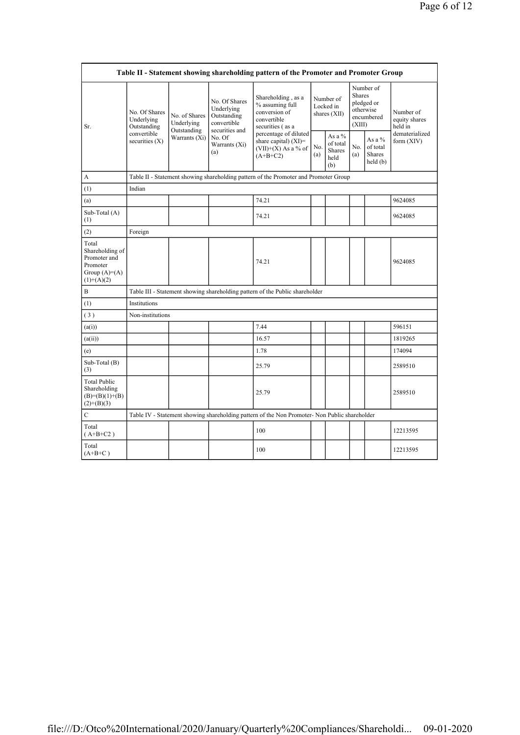| Table II - Statement showing shareholding pattern of the Promoter and Promoter Group   |                                                                               |                                                             |                                                                                                               |                                                                                               |                                        |                                                    |                                                                               |                                                         |                                       |
|----------------------------------------------------------------------------------------|-------------------------------------------------------------------------------|-------------------------------------------------------------|---------------------------------------------------------------------------------------------------------------|-----------------------------------------------------------------------------------------------|----------------------------------------|----------------------------------------------------|-------------------------------------------------------------------------------|---------------------------------------------------------|---------------------------------------|
| Sr.                                                                                    | No. Of Shares<br>Underlying<br>Outstanding<br>convertible<br>securities $(X)$ | No. of Shares<br>Underlying<br>Outstanding<br>Warrants (Xi) | No. Of Shares<br>Underlying<br>Outstanding<br>convertible<br>securities and<br>No. Of<br>Warrants (Xi)<br>(a) | Shareholding, as a<br>% assuming full<br>conversion of<br>convertible<br>securities (as a     | Number of<br>Locked in<br>shares (XII) |                                                    | Number of<br><b>Shares</b><br>pledged or<br>otherwise<br>encumbered<br>(XIII) |                                                         | Number of<br>equity shares<br>held in |
|                                                                                        |                                                                               |                                                             |                                                                                                               | percentage of diluted<br>share capital) $(XI)$ =<br>$(VII)+(X)$ As a % of<br>$(A+B+C2)$       | No.<br>(a)                             | As a %<br>of total<br><b>Shares</b><br>held<br>(b) | No.<br>(a)                                                                    | As a %<br>of total<br>Shares<br>$\text{held}(\text{b})$ | dematerialized<br>form $(XIV)$        |
| A                                                                                      |                                                                               |                                                             |                                                                                                               | Table II - Statement showing shareholding pattern of the Promoter and Promoter Group          |                                        |                                                    |                                                                               |                                                         |                                       |
| (1)                                                                                    | Indian                                                                        |                                                             |                                                                                                               |                                                                                               |                                        |                                                    |                                                                               |                                                         |                                       |
| (a)                                                                                    |                                                                               |                                                             |                                                                                                               | 74.21                                                                                         |                                        |                                                    |                                                                               |                                                         | 9624085                               |
| Sub-Total (A)<br>(1)                                                                   |                                                                               |                                                             |                                                                                                               | 74.21                                                                                         |                                        |                                                    |                                                                               |                                                         | 9624085                               |
| (2)                                                                                    | Foreign                                                                       |                                                             |                                                                                                               |                                                                                               |                                        |                                                    |                                                                               |                                                         |                                       |
| Total<br>Shareholding of<br>Promoter and<br>Promoter<br>Group $(A)=A)$<br>$(1)+(A)(2)$ |                                                                               |                                                             |                                                                                                               | 74.21                                                                                         |                                        |                                                    |                                                                               |                                                         | 9624085                               |
| B                                                                                      |                                                                               |                                                             |                                                                                                               | Table III - Statement showing shareholding pattern of the Public shareholder                  |                                        |                                                    |                                                                               |                                                         |                                       |
| (1)                                                                                    | Institutions                                                                  |                                                             |                                                                                                               |                                                                                               |                                        |                                                    |                                                                               |                                                         |                                       |
| (3)                                                                                    | Non-institutions                                                              |                                                             |                                                                                                               |                                                                                               |                                        |                                                    |                                                                               |                                                         |                                       |
| (a(i))                                                                                 |                                                                               |                                                             |                                                                                                               | 7.44                                                                                          |                                        |                                                    |                                                                               |                                                         | 596151                                |
| (a(ii))                                                                                |                                                                               |                                                             |                                                                                                               | 16.57                                                                                         |                                        |                                                    |                                                                               |                                                         | 1819265                               |
| (e)                                                                                    |                                                                               |                                                             |                                                                                                               | 1.78                                                                                          |                                        |                                                    |                                                                               |                                                         | 174094                                |
| Sub-Total (B)<br>(3)                                                                   |                                                                               |                                                             |                                                                                                               | 25.79                                                                                         |                                        |                                                    |                                                                               |                                                         | 2589510                               |
| <b>Total Public</b><br>Shareholding<br>$(B)= (B)(1)+(B)$<br>$(2)+(B)(3)$               |                                                                               |                                                             |                                                                                                               | 25.79                                                                                         |                                        |                                                    |                                                                               |                                                         | 2589510                               |
| $\mathbf C$                                                                            |                                                                               |                                                             |                                                                                                               | Table IV - Statement showing shareholding pattern of the Non Promoter- Non Public shareholder |                                        |                                                    |                                                                               |                                                         |                                       |
| Total<br>$(A+B+C2)$                                                                    |                                                                               |                                                             |                                                                                                               | 100                                                                                           |                                        |                                                    |                                                                               |                                                         | 12213595                              |
| Total<br>$(A+B+C)$                                                                     |                                                                               |                                                             |                                                                                                               | 100                                                                                           |                                        |                                                    |                                                                               |                                                         | 12213595                              |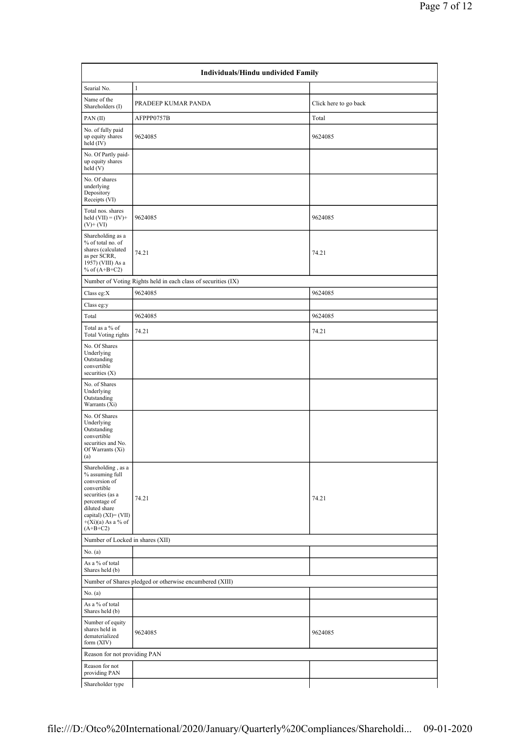| Individuals/Hindu undivided Family                                                                                                                                                        |                                                               |                       |  |  |  |  |  |
|-------------------------------------------------------------------------------------------------------------------------------------------------------------------------------------------|---------------------------------------------------------------|-----------------------|--|--|--|--|--|
| Searial No.                                                                                                                                                                               | $\mathbf{1}$                                                  |                       |  |  |  |  |  |
| Name of the<br>Shareholders (I)                                                                                                                                                           | PRADEEP KUMAR PANDA                                           | Click here to go back |  |  |  |  |  |
| PAN(II)                                                                                                                                                                                   | AFPPP0757B                                                    | Total                 |  |  |  |  |  |
| No. of fully paid<br>up equity shares<br>held (IV)                                                                                                                                        | 9624085                                                       | 9624085               |  |  |  |  |  |
| No. Of Partly paid-<br>up equity shares<br>held (V)                                                                                                                                       |                                                               |                       |  |  |  |  |  |
| No. Of shares<br>underlying<br>Depository<br>Receipts (VI)                                                                                                                                |                                                               |                       |  |  |  |  |  |
| Total nos. shares<br>held $(VII) = (IV) +$<br>$(V)$ + (VI)                                                                                                                                | 9624085                                                       | 9624085               |  |  |  |  |  |
| Shareholding as a<br>% of total no. of<br>shares (calculated<br>as per SCRR,<br>1957) (VIII) As a<br>% of $(A+B+C2)$                                                                      | 74.21                                                         | 74.21                 |  |  |  |  |  |
|                                                                                                                                                                                           | Number of Voting Rights held in each class of securities (IX) |                       |  |  |  |  |  |
| Class eg: $X$                                                                                                                                                                             | 9624085                                                       | 9624085               |  |  |  |  |  |
| Class eg:y                                                                                                                                                                                |                                                               |                       |  |  |  |  |  |
| Total                                                                                                                                                                                     | 9624085                                                       | 9624085               |  |  |  |  |  |
| Total as a % of<br><b>Total Voting rights</b>                                                                                                                                             | 74.21                                                         | 74.21                 |  |  |  |  |  |
| No. Of Shares<br>Underlying<br>Outstanding<br>convertible<br>securities (X)                                                                                                               |                                                               |                       |  |  |  |  |  |
| No. of Shares<br>Underlying<br>Outstanding<br>Warrants (Xi)                                                                                                                               |                                                               |                       |  |  |  |  |  |
| No. Of Shares<br>Underlying<br>Outstanding<br>convertible<br>securities and No.<br>Of Warrants (Xi)<br>(a)                                                                                |                                                               |                       |  |  |  |  |  |
| Shareholding, as a<br>% assuming full<br>conversion of<br>convertible<br>securities (as a<br>percentage of<br>diluted share<br>capital) (XI)= (VII)<br>$+(Xi)(a)$ As a % of<br>$(A+B+C2)$ | 74.21                                                         | 74.21                 |  |  |  |  |  |
| Number of Locked in shares (XII)                                                                                                                                                          |                                                               |                       |  |  |  |  |  |
| No. (a)                                                                                                                                                                                   |                                                               |                       |  |  |  |  |  |
| As a % of total<br>Shares held (b)                                                                                                                                                        |                                                               |                       |  |  |  |  |  |
|                                                                                                                                                                                           | Number of Shares pledged or otherwise encumbered (XIII)       |                       |  |  |  |  |  |
| No. (a)                                                                                                                                                                                   |                                                               |                       |  |  |  |  |  |
| As a % of total<br>Shares held (b)                                                                                                                                                        |                                                               |                       |  |  |  |  |  |
| Number of equity<br>shares held in<br>dematerialized<br>form (XIV)                                                                                                                        | 9624085                                                       | 9624085               |  |  |  |  |  |
| Reason for not providing PAN                                                                                                                                                              |                                                               |                       |  |  |  |  |  |
| Reason for not<br>providing PAN                                                                                                                                                           |                                                               |                       |  |  |  |  |  |
| Shareholder type                                                                                                                                                                          |                                                               |                       |  |  |  |  |  |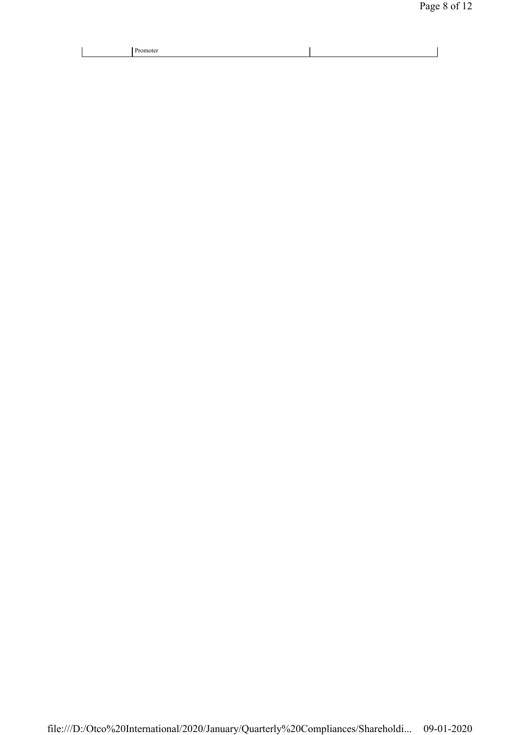| note |  |
|------|--|
|------|--|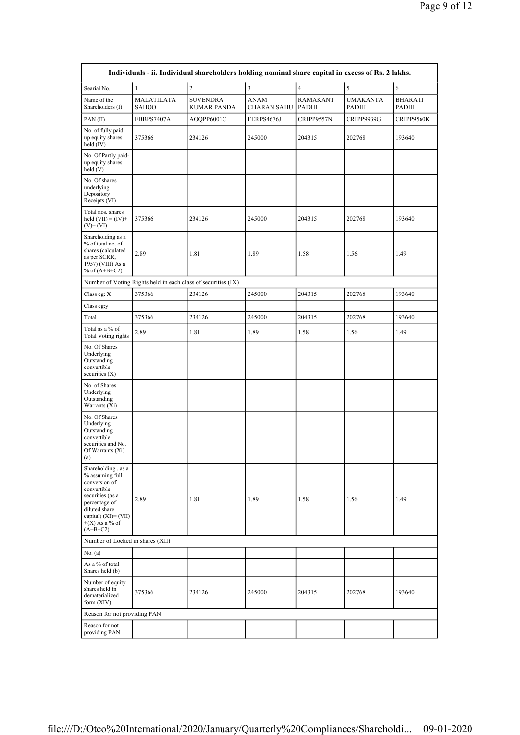|                                                                                                                                                                                       |                                                               | Individuals - ii. Individual shareholders holding nominal share capital in excess of Rs. 2 lakhs. |                                   |                   |                          |                         |
|---------------------------------------------------------------------------------------------------------------------------------------------------------------------------------------|---------------------------------------------------------------|---------------------------------------------------------------------------------------------------|-----------------------------------|-------------------|--------------------------|-------------------------|
| Searial No.                                                                                                                                                                           | $\mathbf{1}$                                                  | $\sqrt{2}$                                                                                        | $\mathfrak{Z}$                    | $\sqrt{4}$        | $\sqrt{5}$               | $\sqrt{6}$              |
| Name of the<br>Shareholders (I)                                                                                                                                                       | MALATILATA<br><b>SAHOO</b>                                    | <b>SUVENDRA</b><br><b>KUMAR PANDA</b>                                                             | <b>ANAM</b><br><b>CHARAN SAHU</b> | RAMAKANT<br>PADHI | <b>UMAKANTA</b><br>PADHI | <b>BHARATI</b><br>PADHI |
| PAN(II)                                                                                                                                                                               | FBBPS7407A                                                    | AOOPP6001C                                                                                        | FERPS4676J                        | CRIPP9557N        | CRIPP9939G               | CRIPP9560K              |
| No. of fully paid<br>up equity shares<br>held (IV)                                                                                                                                    | 375366                                                        | 234126                                                                                            | 245000                            | 204315            | 202768                   | 193640                  |
| No. Of Partly paid-<br>up equity shares<br>held(V)                                                                                                                                    |                                                               |                                                                                                   |                                   |                   |                          |                         |
| No. Of shares<br>underlying<br>Depository<br>Receipts (VI)                                                                                                                            |                                                               |                                                                                                   |                                   |                   |                          |                         |
| Total nos. shares<br>held $(VII) = (IV) +$<br>$(V)+(VI)$                                                                                                                              | 375366                                                        | 234126                                                                                            | 245000                            | 204315            | 202768                   | 193640                  |
| Shareholding as a<br>% of total no. of<br>shares (calculated<br>as per SCRR,<br>1957) (VIII) As a<br>% of $(A+B+C2)$                                                                  | 2.89                                                          | 1.81                                                                                              | 1.89                              | 1.58              | 1.56                     | 1.49                    |
|                                                                                                                                                                                       | Number of Voting Rights held in each class of securities (IX) |                                                                                                   |                                   |                   |                          |                         |
| Class eg: X                                                                                                                                                                           | 375366                                                        | 234126                                                                                            | 245000                            | 204315            | 202768                   | 193640                  |
| Class eg:y                                                                                                                                                                            |                                                               |                                                                                                   |                                   |                   |                          |                         |
| Total                                                                                                                                                                                 | 375366                                                        | 234126                                                                                            | 245000                            | 204315            | 202768                   | 193640                  |
| Total as a % of<br><b>Total Voting rights</b>                                                                                                                                         | 2.89                                                          | 1.81                                                                                              | 1.89                              | 1.58              | 1.56                     | 1.49                    |
| No. Of Shares<br>Underlying<br>Outstanding<br>convertible<br>securities $(X)$                                                                                                         |                                                               |                                                                                                   |                                   |                   |                          |                         |
| No. of Shares<br>Underlying<br>Outstanding<br>Warrants (Xi)                                                                                                                           |                                                               |                                                                                                   |                                   |                   |                          |                         |
| No. Of Shares<br>Underlying<br>Outstanding<br>convertible<br>securities and No.<br>Of Warrants (Xi)<br>(a)                                                                            |                                                               |                                                                                                   |                                   |                   |                          |                         |
| Shareholding, as a<br>% assuming full<br>conversion of<br>convertible<br>securities (as a<br>percentage of<br>diluted share<br>capital) (XI)= (VII)<br>$+(X)$ As a % of<br>$(A+B+C2)$ | 2.89                                                          | 1.81                                                                                              | 1.89                              | 1.58              | 1.56                     | 1.49                    |
| Number of Locked in shares (XII)                                                                                                                                                      |                                                               |                                                                                                   |                                   |                   |                          |                         |
| No. (a)                                                                                                                                                                               |                                                               |                                                                                                   |                                   |                   |                          |                         |
| As a % of total<br>Shares held (b)                                                                                                                                                    |                                                               |                                                                                                   |                                   |                   |                          |                         |
| Number of equity<br>shares held in<br>dematerialized<br>form $(XIV)$                                                                                                                  | 375366                                                        | 234126                                                                                            | 245000                            | 204315            | 202768                   | 193640                  |
| Reason for not providing PAN                                                                                                                                                          |                                                               |                                                                                                   |                                   |                   |                          |                         |
| Reason for not<br>providing PAN                                                                                                                                                       |                                                               |                                                                                                   |                                   |                   |                          |                         |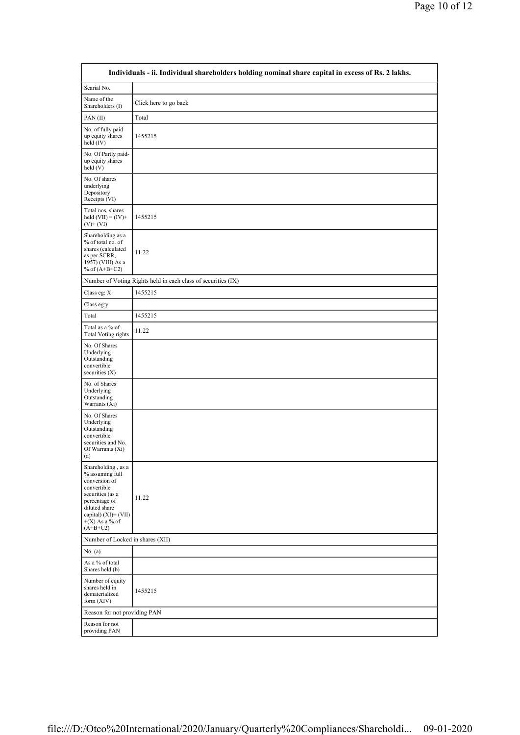|                                                                                                                                                                                          | Individuals - ii. Individual shareholders holding nominal share capital in excess of Rs. 2 lakhs. |
|------------------------------------------------------------------------------------------------------------------------------------------------------------------------------------------|---------------------------------------------------------------------------------------------------|
| Searial No.                                                                                                                                                                              |                                                                                                   |
| Name of the<br>Shareholders (I)                                                                                                                                                          | Click here to go back                                                                             |
| PAN(II)                                                                                                                                                                                  | Total                                                                                             |
| No. of fully paid<br>up equity shares<br>held $(IV)$                                                                                                                                     | 1455215                                                                                           |
| No. Of Partly paid-<br>up equity shares<br>$\text{held}$ (V)                                                                                                                             |                                                                                                   |
| No. Of shares<br>underlying<br>Depository<br>Receipts (VI)                                                                                                                               |                                                                                                   |
| Total nos. shares<br>held $(VII) = (IV) +$<br>$(V)$ + $(VI)$                                                                                                                             | 1455215                                                                                           |
| Shareholding as a<br>% of total no. of<br>shares (calculated<br>as per SCRR,<br>1957) (VIII) As a<br>% of $(A+B+C2)$                                                                     | 11.22                                                                                             |
|                                                                                                                                                                                          | Number of Voting Rights held in each class of securities (IX)                                     |
| Class eg: X                                                                                                                                                                              | 1455215                                                                                           |
| Class eg:y                                                                                                                                                                               |                                                                                                   |
| Total                                                                                                                                                                                    | 1455215                                                                                           |
| Total as a % of<br>Total Voting rights                                                                                                                                                   | 11.22                                                                                             |
| No. Of Shares<br>Underlying<br>Outstanding<br>convertible<br>securities $(X)$                                                                                                            |                                                                                                   |
| No. of Shares<br>Underlying<br>Outstanding<br>Warrants (Xi)                                                                                                                              |                                                                                                   |
| No. Of Shares<br>Underlying<br>Outstanding<br>convertible<br>securities and No.<br>Of Warrants (Xi)<br>(a)                                                                               |                                                                                                   |
| Shareholding, as a<br>% assuming full<br>conversion of<br>convertible<br>securities (as a<br>percentage of<br>diluted share<br>capital) $(XI) = (VII)$<br>$+(X)$ As a % of<br>$(A+B+C2)$ | 11.22                                                                                             |
| Number of Locked in shares (XII)                                                                                                                                                         |                                                                                                   |
| No. (a)                                                                                                                                                                                  |                                                                                                   |
| As a % of total<br>Shares held (b)                                                                                                                                                       |                                                                                                   |
| Number of equity<br>shares held in<br>dematerialized<br>form $(XIV)$                                                                                                                     | 1455215                                                                                           |
| Reason for not providing PAN                                                                                                                                                             |                                                                                                   |
| Reason for not<br>providing PAN                                                                                                                                                          |                                                                                                   |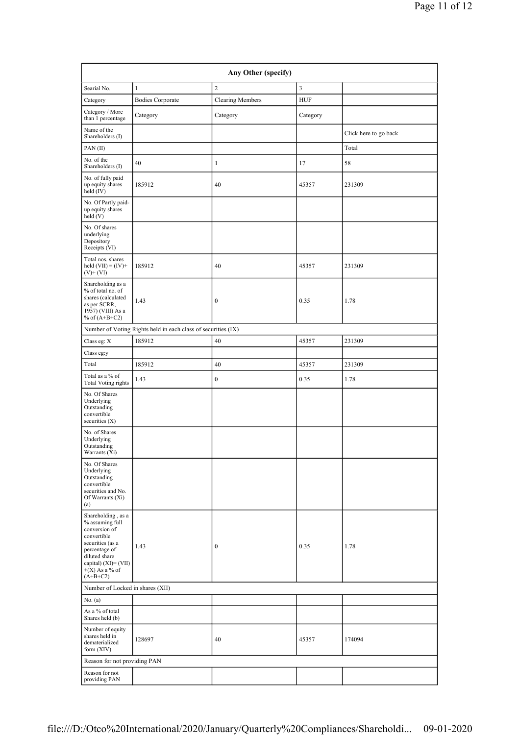|                                                                           |                         |                         |            |                       | Page 11 of 12 |
|---------------------------------------------------------------------------|-------------------------|-------------------------|------------|-----------------------|---------------|
|                                                                           |                         |                         |            |                       |               |
|                                                                           |                         | Any Other (specify)     |            |                       |               |
| Searial No.                                                               | $\mathbf{1}$            | $\overline{c}$          | 3          |                       |               |
| Category                                                                  | <b>Bodies Corporate</b> | <b>Clearing Members</b> | <b>HUF</b> |                       |               |
| Category / More<br>than 1 percentage                                      | Category                | Category                | Category   |                       |               |
| Name of the<br>Shareholders (I)                                           |                         |                         |            | Click here to go back |               |
| PAN(II)                                                                   |                         |                         |            | Total                 |               |
| No. of the<br>Shareholders (I)                                            | 40                      | $\mathbf{1}$            | 17         | 58                    |               |
| No. of fully paid<br>up equity shares<br>held (IV)                        | 185912                  | 40                      | 45357      | 231309                |               |
| No. Of Partly paid-<br>up equity shares<br>held(V)                        |                         |                         |            |                       |               |
| No. Of shares<br>underlying<br>Depository<br>Receipts (VI)                |                         |                         |            |                       |               |
| Total nos. shares<br>held $(VII) = (IV) +$<br>$(V)+(VI)$                  | 185912                  | 40                      | 45357      | 231309                |               |
| Shareholding as a<br>$0$ $\ell$ $\ell$ $\ell$ $\ell$ $\ell$ $\ell$ $\ell$ |                         |                         |            |                       |               |

| No. of fully paid<br>up equity shares<br>held (IV)                                                                                                                                    | 185912                                                        | 40               | 45357 | 231309 |
|---------------------------------------------------------------------------------------------------------------------------------------------------------------------------------------|---------------------------------------------------------------|------------------|-------|--------|
| No. Of Partly paid-<br>up equity shares<br>held (V)                                                                                                                                   |                                                               |                  |       |        |
| No. Of shares<br>underlying<br>Depository<br>Receipts (VI)                                                                                                                            |                                                               |                  |       |        |
| Total nos. shares<br>held $(VII) = (IV) +$<br>$(V)$ + $(VI)$                                                                                                                          | 185912                                                        | 40               | 45357 | 231309 |
| Shareholding as a<br>% of total no. of<br>shares (calculated<br>as per SCRR,<br>1957) (VIII) As a<br>% of $(A+B+C2)$                                                                  | 1.43                                                          | $\boldsymbol{0}$ | 0.35  | 1.78   |
|                                                                                                                                                                                       | Number of Voting Rights held in each class of securities (IX) |                  |       |        |
| Class eg: X                                                                                                                                                                           | 185912                                                        | 40               | 45357 | 231309 |
| Class eg:y                                                                                                                                                                            |                                                               |                  |       |        |
| Total                                                                                                                                                                                 | 185912                                                        | 40               | 45357 | 231309 |
| Total as a % of<br><b>Total Voting rights</b>                                                                                                                                         | 1.43                                                          | $\boldsymbol{0}$ | 0.35  | 1.78   |
| No. Of Shares<br>Underlying<br>Outstanding<br>convertible<br>securities $(X)$                                                                                                         |                                                               |                  |       |        |
| No. of Shares<br>Underlying<br>Outstanding<br>Warrants (Xi)                                                                                                                           |                                                               |                  |       |        |
| No. Of Shares<br>Underlying<br>Outstanding<br>convertible<br>securities and No.<br>Of Warrants (Xi)<br>(a)                                                                            |                                                               |                  |       |        |
| Shareholding, as a<br>% assuming full<br>conversion of<br>convertible<br>securities (as a<br>percentage of<br>diluted share<br>capital) (XI)= (VII)<br>$+(X)$ As a % of<br>$(A+B+C2)$ | 1.43                                                          | $\boldsymbol{0}$ | 0.35  | 1.78   |
| Number of Locked in shares (XII)                                                                                                                                                      |                                                               |                  |       |        |
| No. (a)                                                                                                                                                                               |                                                               |                  |       |        |
| As a % of total<br>Shares held (b)                                                                                                                                                    |                                                               |                  |       |        |
| Number of equity<br>shares held in<br>dematerialized<br>form $(XIV)$                                                                                                                  | 128697                                                        | 40               | 45357 | 174094 |
| Reason for not providing PAN                                                                                                                                                          |                                                               |                  |       |        |
| Reason for not<br>providing PAN                                                                                                                                                       |                                                               |                  |       |        |
|                                                                                                                                                                                       |                                                               |                  |       |        |